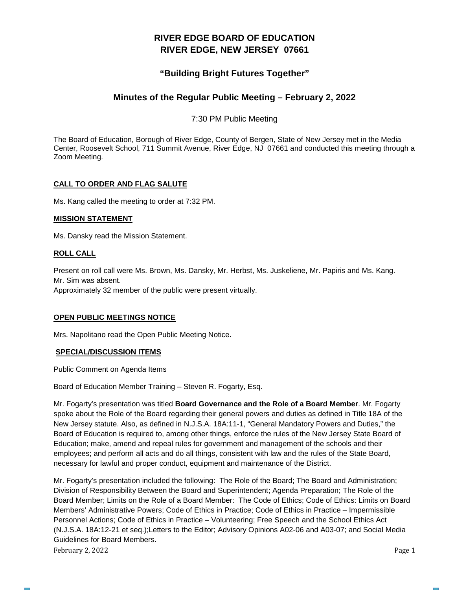# **RIVER EDGE BOARD OF EDUCATION RIVER EDGE, NEW JERSEY 07661**

# **"Building Bright Futures Together"**

# **Minutes of the Regular Public Meeting – February 2, 2022**

7:30 PM Public Meeting

The Board of Education, Borough of River Edge, County of Bergen, State of New Jersey met in the Media Center, Roosevelt School, 711 Summit Avenue, River Edge, NJ 07661 and conducted this meeting through a Zoom Meeting.

# **CALL TO ORDER AND FLAG SALUTE**

Ms. Kang called the meeting to order at 7:32 PM.

# **MISSION STATEMENT**

Ms. Dansky read the Mission Statement.

# **ROLL CALL**

Present on roll call were Ms. Brown, Ms. Dansky, Mr. Herbst, Ms. Juskeliene, Mr. Papiris and Ms. Kang. Mr. Sim was absent.

Approximately 32 member of the public were present virtually.

# **OPEN PUBLIC MEETINGS NOTICE**

Mrs. Napolitano read the Open Public Meeting Notice.

# **SPECIAL/DISCUSSION ITEMS**

Public Comment on Agenda Items

Board of Education Member Training – Steven R. Fogarty, Esq.

Mr. Fogarty's presentation was titled **Board Governance and the Role of a Board Member**. Mr. Fogarty spoke about the Role of the Board regarding their general powers and duties as defined in Title 18A of the New Jersey statute. Also, as defined in N.J.S.A. 18A:11-1, "General Mandatory Powers and Duties," the Board of Education is required to, among other things, enforce the rules of the New Jersey State Board of Education; make, amend and repeal rules for government and management of the schools and their employees; and perform all acts and do all things, consistent with law and the rules of the State Board, necessary for lawful and proper conduct, equipment and maintenance of the District.

February 2, 2022 **Page 1** Mr. Fogarty's presentation included the following: The Role of the Board; The Board and Administration; Division of Responsibility Between the Board and Superintendent; Agenda Preparation; The Role of the Board Member; Limits on the Role of a Board Member: The Code of Ethics; Code of Ethics: Limits on Board Members' Administrative Powers; Code of Ethics in Practice; Code of Ethics in Practice – Impermissible Personnel Actions; Code of Ethics in Practice – Volunteering; Free Speech and the School Ethics Act (N.J.S.A. 18A:12-21 et seq.);Letters to the Editor; Advisory Opinions A02-06 and A03-07; and Social Media Guidelines for Board Members.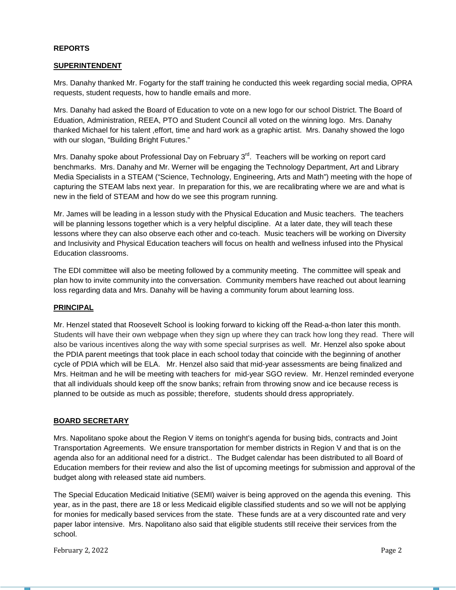#### **REPORTS**

#### **SUPERINTENDENT**

Mrs. Danahy thanked Mr. Fogarty for the staff training he conducted this week regarding social media, OPRA requests, student requests, how to handle emails and more.

Mrs. Danahy had asked the Board of Education to vote on a new logo for our school District. The Board of Eduation, Administration, REEA, PTO and Student Council all voted on the winning logo. Mrs. Danahy thanked Michael for his talent ,effort, time and hard work as a graphic artist. Mrs. Danahy showed the logo with our slogan, "Building Bright Futures."

Mrs. Danahy spoke about Professional Day on February  $3<sup>rd</sup>$ . Teachers will be working on report card benchmarks. Mrs. Danahy and Mr. Werner will be engaging the Technology Department, Art and Library Media Specialists in a STEAM ("Science, Technology, Engineering, Arts and Math") meeting with the hope of capturing the STEAM labs next year. In preparation for this, we are recalibrating where we are and what is new in the field of STEAM and how do we see this program running.

Mr. James will be leading in a lesson study with the Physical Education and Music teachers. The teachers will be planning lessons together which is a very helpful discipline. At a later date, they will teach these lessons where they can also observe each other and co-teach. Music teachers will be working on Diversity and Inclusivity and Physical Education teachers will focus on health and wellness infused into the Physical Education classrooms.

The EDI committee will also be meeting followed by a community meeting. The committee will speak and plan how to invite community into the conversation. Community members have reached out about learning loss regarding data and Mrs. Danahy will be having a community forum about learning loss.

# **PRINCIPAL**

Mr. Henzel stated that Roosevelt School is looking forward to kicking off the Read-a-thon later this month. Students will have their own webpage when they sign up where they can track how long they read. There will also be various incentives along the way with some special surprises as well. Mr. Henzel also spoke about the PDIA parent meetings that took place in each school today that coincide with the beginning of another cycle of PDIA which will be ELA. Mr. Henzel also said that mid-year assessments are being finalized and Mrs. Heitman and he will be meeting with teachers for mid-year SGO review. Mr. Henzel reminded everyone that all individuals should keep off the snow banks; refrain from throwing snow and ice because recess is planned to be outside as much as possible; therefore, students should dress appropriately.

### **BOARD SECRETARY**

Mrs. Napolitano spoke about the Region V items on tonight's agenda for busing bids, contracts and Joint Transportation Agreements. We ensure transportation for member districts in Region V and that is on the agenda also for an additional need for a district.. The Budget calendar has been distributed to all Board of Education members for their review and also the list of upcoming meetings for submission and approval of the budget along with released state aid numbers.

The Special Education Medicaid Initiative (SEMI) waiver is being approved on the agenda this evening. This year, as in the past, there are 18 or less Medicaid eligible classified students and so we will not be applying for monies for medically based services from the state. These funds are at a very discounted rate and very paper labor intensive. Mrs. Napolitano also said that eligible students still receive their services from the school.

February 2, 2022 **Page 2**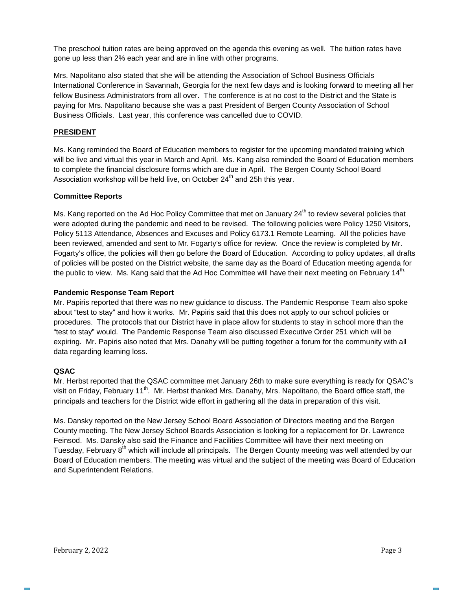The preschool tuition rates are being approved on the agenda this evening as well. The tuition rates have gone up less than 2% each year and are in line with other programs.

Mrs. Napolitano also stated that she will be attending the Association of School Business Officials International Conference in Savannah, Georgia for the next few days and is looking forward to meeting all her fellow Business Administrators from all over. The conference is at no cost to the District and the State is paying for Mrs. Napolitano because she was a past President of Bergen County Association of School Business Officials. Last year, this conference was cancelled due to COVID.

# **PRESIDENT**

Ms. Kang reminded the Board of Education members to register for the upcoming mandated training which will be live and virtual this year in March and April. Ms. Kang also reminded the Board of Education members to complete the financial disclosure forms which are due in April. The Bergen County School Board Association workshop will be held live, on October  $24<sup>th</sup>$  and 25h this year.

# **Committee Reports**

Ms. Kang reported on the Ad Hoc Policy Committee that met on January 24<sup>th</sup> to review several policies that were adopted during the pandemic and need to be revised. The following policies were Policy 1250 Visitors, Policy 5113 Attendance, Absences and Excuses and Policy 6173.1 Remote Learning. All the policies have been reviewed, amended and sent to Mr. Fogarty's office for review. Once the review is completed by Mr. Fogarty's office, the policies will then go before the Board of Education. According to policy updates, all drafts of policies will be posted on the District website, the same day as the Board of Education meeting agenda for the public to view. Ms. Kang said that the Ad Hoc Committee will have their next meeting on February 14th.

# **Pandemic Response Team Report**

Mr. Papiris reported that there was no new guidance to discuss. The Pandemic Response Team also spoke about "test to stay" and how it works. Mr. Papiris said that this does not apply to our school policies or procedures. The protocols that our District have in place allow for students to stay in school more than the "test to stay" would. The Pandemic Response Team also discussed Executive Order 251 which will be expiring. Mr. Papiris also noted that Mrs. Danahy will be putting together a forum for the community with all data regarding learning loss.

# **QSAC**

Mr. Herbst reported that the QSAC committee met January 26th to make sure everything is ready for QSAC's visit on Friday, February 11<sup>th</sup>. Mr. Herbst thanked Mrs. Danahy, Mrs. Napolitano, the Board office staff, the principals and teachers for the District wide effort in gathering all the data in preparation of this visit.

Ms. Dansky reported on the New Jersey School Board Association of Directors meeting and the Bergen County meeting. The New Jersey School Boards Association is looking for a replacement for Dr. Lawrence Feinsod. Ms. Dansky also said the Finance and Facilities Committee will have their next meeting on Tuesday, February 8<sup>th</sup> which will include all principals. The Bergen County meeting was well attended by our Board of Education members. The meeting was virtual and the subject of the meeting was Board of Education and Superintendent Relations.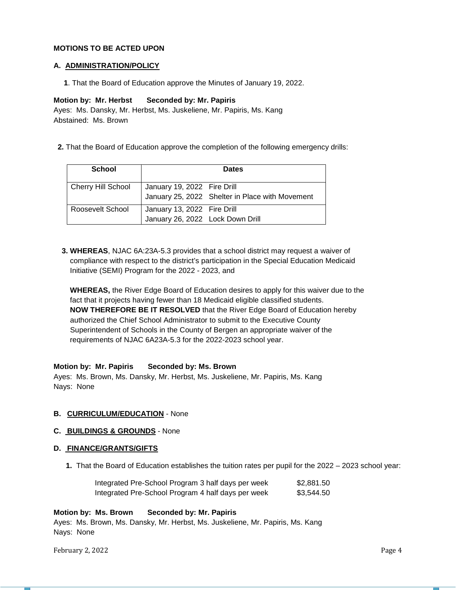#### **MOTIONS TO BE ACTED UPON**

#### **A. ADMINISTRATION/POLICY**

 **1**. That the Board of Education approve the Minutes of January 19, 2022.

#### **Motion by: Mr. Herbst Seconded by: Mr. Papiris**

Ayes: Ms. Dansky, Mr. Herbst, Ms. Juskeliene, Mr. Papiris, Ms. Kang Abstained: Ms. Brown

 **2.** That the Board of Education approve the completion of the following emergency drills:

| <b>School</b>      | <b>Dates</b>                                                    |                                                 |  |
|--------------------|-----------------------------------------------------------------|-------------------------------------------------|--|
| Cherry Hill School | January 19, 2022 Fire Drill                                     | January 25, 2022 Shelter in Place with Movement |  |
| Roosevelt School   | January 13, 2022 Fire Drill<br>January 26, 2022 Lock Down Drill |                                                 |  |

 **3. WHEREAS**, NJAC 6A:23A-5.3 provides that a school district may request a waiver of compliance with respect to the district's participation in the Special Education Medicaid Initiative (SEMI) Program for the 2022 - 2023, and

 **WHEREAS,** the River Edge Board of Education desires to apply for this waiver due to the fact that it projects having fewer than 18 Medicaid eligible classified students.  **NOW THEREFORE BE IT RESOLVED** that the River Edge Board of Education hereby authorized the Chief School Administrator to submit to the Executive County Superintendent of Schools in the County of Bergen an appropriate waiver of the requirements of NJAC 6A23A-5.3 for the 2022-2023 school year.

#### **Motion by: Mr. Papiris Seconded by: Ms. Brown**

Ayes: Ms. Brown, Ms. Dansky, Mr. Herbst, Ms. Juskeliene, Mr. Papiris, Ms. Kang Nays: None

### **B. CURRICULUM/EDUCATION** - None

### **C. BUILDINGS & GROUNDS** - None

#### **D. FINANCE/GRANTS/GIFTS**

 **1.** That the Board of Education establishes the tuition rates per pupil for the 2022 – 2023 school year:

| Integrated Pre-School Program 3 half days per week | \$2,881.50 |
|----------------------------------------------------|------------|
| Integrated Pre-School Program 4 half days per week | \$3,544.50 |

#### **Motion by: Ms. Brown Seconded by: Mr. Papiris**

Ayes: Ms. Brown, Ms. Dansky, Mr. Herbst, Ms. Juskeliene, Mr. Papiris, Ms. Kang Nays: None

February 2, 2022 **Page 4**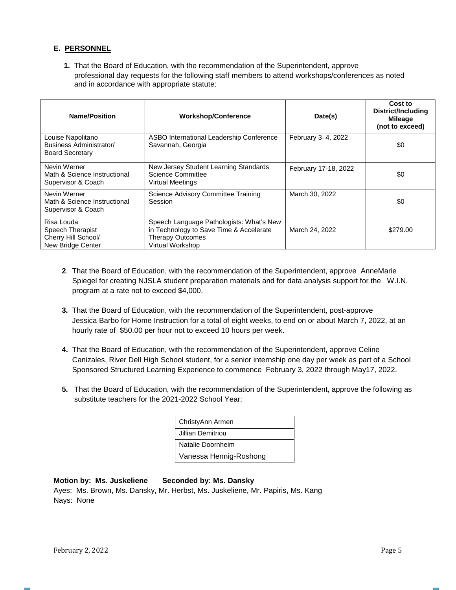# **E. PERSONNEL**

 **1.** That the Board of Education, with the recommendation of the Superintendent, approve professional day requests for the following staff members to attend workshops/conferences as noted and in accordance with appropriate statute:

| <b>Name/Position</b>                                                       | <b>Workshop/Conference</b>                                                                                                         | Date(s)              | Cost to<br><b>District/Including</b><br><b>Mileage</b><br>(not to exceed) |
|----------------------------------------------------------------------------|------------------------------------------------------------------------------------------------------------------------------------|----------------------|---------------------------------------------------------------------------|
| Louise Napolitano<br>Business Administrator/<br><b>Board Secretary</b>     | ASBO International Leadership Conference<br>Savannah, Georgia                                                                      | February 3-4, 2022   | \$0                                                                       |
| Nevin Werner<br>Math & Science Instructional<br>Supervisor & Coach         | New Jersey Student Learning Standards<br>Science Committee<br><b>Virtual Meetings</b>                                              | February 17-18, 2022 | \$0                                                                       |
| Nevin Werner<br>Math & Science Instructional<br>Supervisor & Coach         | <b>Science Advisory Committee Training</b><br>Session                                                                              | March 30, 2022       | \$0                                                                       |
| Risa Louda<br>Speech Therapist<br>Cherry Hill School/<br>New Bridge Center | Speech Language Pathologists: What's New<br>in Technology to Save Time & Accelerate<br><b>Therapy Outcomes</b><br>Virtual Workshop | March 24, 2022       | \$279.00                                                                  |

- **2**.That the Board of Education, with the recommendation of the Superintendent, approve AnneMarie Spiegel for creating NJSLA student preparation materials and for data analysis support for the W.I.N. program at a rate not to exceed \$4,000.
- **3.** That the Board of Education, with the recommendation of the Superintendent, post-approve Jessica Barbo for Home Instruction for a total of eight weeks, to end on or about March 7, 2022, at an hourly rate of \$50.00 per hour not to exceed 10 hours per week.
- **4.** That the Board of Education, with the recommendation of the Superintendent, approve Celine Canizales, River Dell High School student, for a senior internship one day per week as part of a School Sponsored Structured Learning Experience to commence February 3, 2022 through May17, 2022.
- **5.** That the Board of Education, with the recommendation of the Superintendent, approve the following as substitute teachers for the 2021-2022 School Year:

| ChristyAnn Armen       |
|------------------------|
| Jillian Demitriou      |
| Natalie Doornheim      |
| Vanessa Hennig-Roshong |

# **Motion by: Ms. Juskeliene Seconded by: Ms. Dansky**

Ayes: Ms. Brown, Ms. Dansky, Mr. Herbst, Ms. Juskeliene, Mr. Papiris, Ms. Kang Nays: None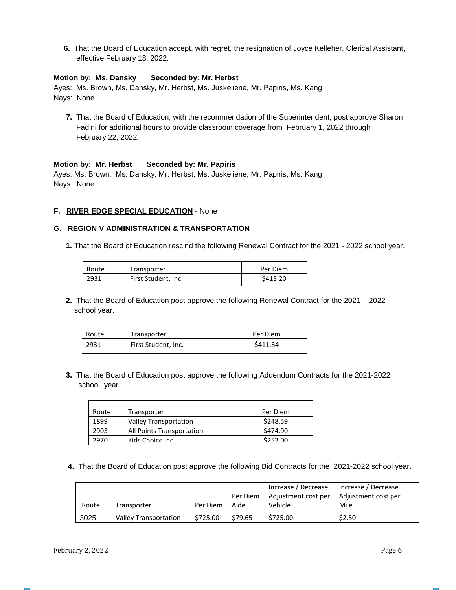**6.** That the Board of Education accept, with regret, the resignation of Joyce Kelleher, Clerical Assistant, effective February 18, 2022.

### **Motion by: Ms. Dansky Seconded by: Mr. Herbst**

Ayes: Ms. Brown, Ms. Dansky, Mr. Herbst, Ms. Juskeliene, Mr. Papiris, Ms. Kang Nays: None

 **7.** That the Board of Education, with the recommendation of the Superintendent, post approve Sharon Fadini for additional hours to provide classroom coverage from February 1, 2022 through February 22, 2022.

# **Motion by: Mr. Herbst Seconded by: Mr. Papiris**

Ayes: Ms. Brown, Ms. Dansky, Mr. Herbst, Ms. Juskeliene, Mr. Papiris, Ms. Kang Nays: None

# **F. RIVER EDGE SPECIAL EDUCATION** - None

### **G. REGION V ADMINISTRATION & TRANSPORTATION**

**1.** That the Board of Education rescind the following Renewal Contract for the 2021 - 2022 school year.

| Route | Transporter         | Per Diem |
|-------|---------------------|----------|
| 2931  | First Student, Inc. | \$413.20 |

 **2.** That the Board of Education post approve the following Renewal Contract for the 2021 – 2022 school year.

| Route | Transporter         | Per Diem |
|-------|---------------------|----------|
| 2931  | First Student, Inc. | \$411.84 |

 **3.** That the Board of Education post approve the following Addendum Contracts for the 2021-2022 school year.

| Route | Transporter                  | Per Diem |
|-------|------------------------------|----------|
| 1899  | <b>Valley Transportation</b> | \$248.59 |
| 2903  | All Points Transportation    | \$474.90 |
| 2970  | Kids Choice Inc.             | \$252.00 |

 **4.** That the Board of Education post approve the following Bid Contracts for the 2021-2022 school year.

|       |                              |          |          | Increase / Decrease                       | Increase / Decrease |
|-------|------------------------------|----------|----------|-------------------------------------------|---------------------|
|       |                              |          | Per Diem | Adjustment cost per   Adjustment cost per |                     |
| Route | Transporter                  | Per Diem | Aide     | Vehicle                                   | Mile                |
| 3025  | <b>Valley Transportation</b> | \$725.00 | \$79.65  | \$725.00                                  | \$2.50              |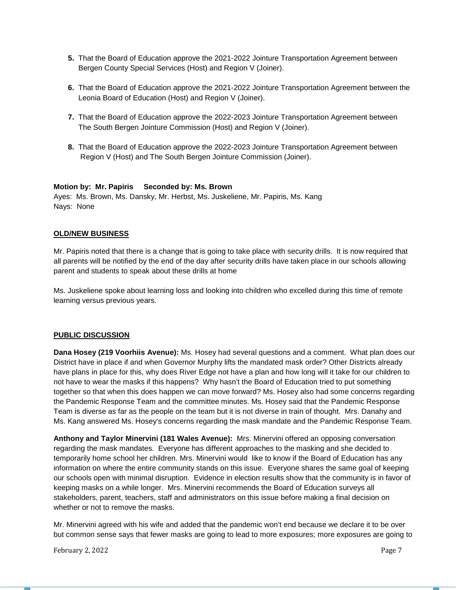- **5.** That the Board of Education approve the 2021-2022 Jointure Transportation Agreement between Bergen County Special Services (Host) and Region V (Joiner).
- **6.** That the Board of Education approve the 2021-2022 Jointure Transportation Agreement between the Leonia Board of Education (Host) and Region V (Joiner).
- **7.** That the Board of Education approve the 2022-2023 Jointure Transportation Agreement between The South Bergen Jointure Commission (Host) and Region V (Joiner).
- **8.** That the Board of Education approve the 2022-2023 Jointure Transportation Agreement between Region V (Host) and The South Bergen Jointure Commission (Joiner).

# **Motion by: Mr. Papiris Seconded by: Ms. Brown**

Ayes: Ms. Brown, Ms. Dansky, Mr. Herbst, Ms. Juskeliene, Mr. Papiris, Ms. Kang Nays: None

# **OLD/NEW BUSINESS**

Mr. Papiris noted that there is a change that is going to take place with security drills. It is now required that all parents will be notified by the end of the day after security drills have taken place in our schools allowing parent and students to speak about these drills at home

Ms. Juskeliene spoke about learning loss and looking into children who excelled during this time of remote learning versus previous years.

### **PUBLIC DISCUSSION**

**Dana Hosey (219 Voorhiis Avenue):** Ms. Hosey had several questions and a comment. What plan does our District have in place if and when Governor Murphy lifts the mandated mask order? Other Districts already have plans in place for this, why does River Edge not have a plan and how long will it take for our children to not have to wear the masks if this happens? Why hasn't the Board of Education tried to put something together so that when this does happen we can move forward? Ms. Hosey also had some concerns regarding the Pandemic Response Team and the committee minutes. Ms. Hosey said that the Pandemic Response Team is diverse as far as the people on the team but it is not diverse in train of thought. Mrs. Danahy and Ms. Kang answered Ms. Hosey's concerns regarding the mask mandate and the Pandemic Response Team.

**Anthony and Taylor Minervini (181 Wales Avenue):** Mrs. Minervini offered an opposing conversation regarding the mask mandates. Everyone has different approaches to the masking and she decided to temporarily home school her children. Mrs. Minervini would like to know if the Board of Education has any information on where the entire community stands on this issue. Everyone shares the same goal of keeping our schools open with minimal disruption. Evidence in election results show that the community is in favor of keeping masks on a while longer. Mrs. Minervini recommends the Board of Education surveys all stakeholders, parent, teachers, staff and administrators on this issue before making a final decision on whether or not to remove the masks.

Mr. Minervini agreed with his wife and added that the pandemic won't end because we declare it to be over but common sense says that fewer masks are going to lead to more exposures; more exposures are going to

February 2, 2022 **Page 7**